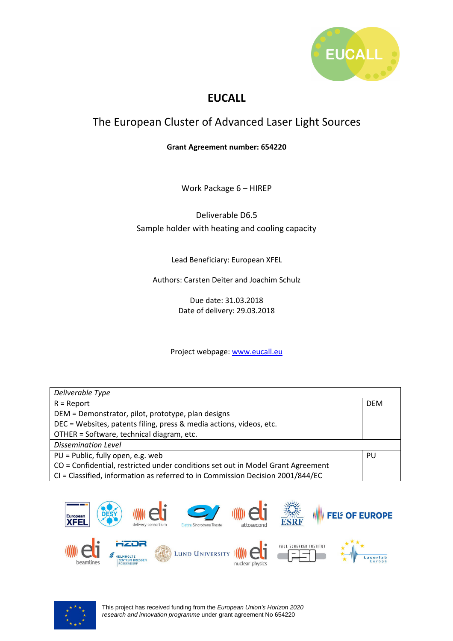

#### **EUCALL**

#### The European Cluster of Advanced Laser Light Sources

#### **Grant Agreement number: 654220**

Work Package 6 – HIREP

Deliverable D6.5 Sample holder with heating and cooling capacity

Lead Beneficiary: European XFEL

Authors: Carsten Deiter and Joachim Schulz

Due date: 31.03.2018 Date of delivery: 29.03.2018

Project webpage: www.eucall.eu

| Deliverable Type                                                                |            |  |
|---------------------------------------------------------------------------------|------------|--|
| $R =$ Report                                                                    | <b>DFM</b> |  |
| DEM = Demonstrator, pilot, prototype, plan designs                              |            |  |
| DEC = Websites, patents filing, press & media actions, videos, etc.             |            |  |
| OTHER = Software, technical diagram, etc.                                       |            |  |
| <b>Dissemination Level</b>                                                      |            |  |
| $PU = Public, fully open, e.g. web$                                             | PU         |  |
| CO = Confidential, restricted under conditions set out in Model Grant Agreement |            |  |
| CI = Classified, information as referred to in Commission Decision 2001/844/EC  |            |  |



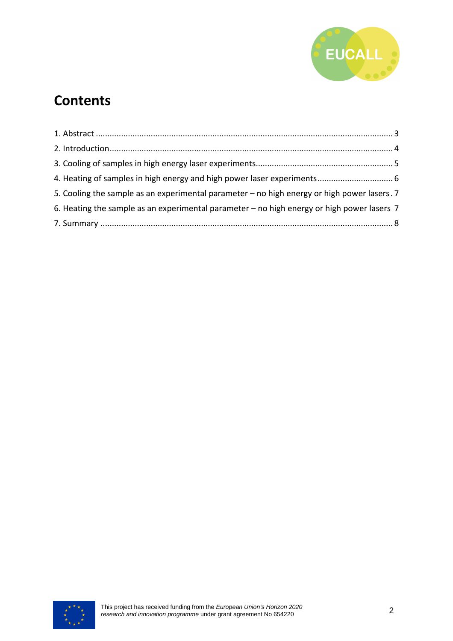

## **Contents**

| 5. Cooling the sample as an experimental parameter - no high energy or high power lasers. 7 |  |
|---------------------------------------------------------------------------------------------|--|
| 6. Heating the sample as an experimental parameter – no high energy or high power lasers 7  |  |
|                                                                                             |  |

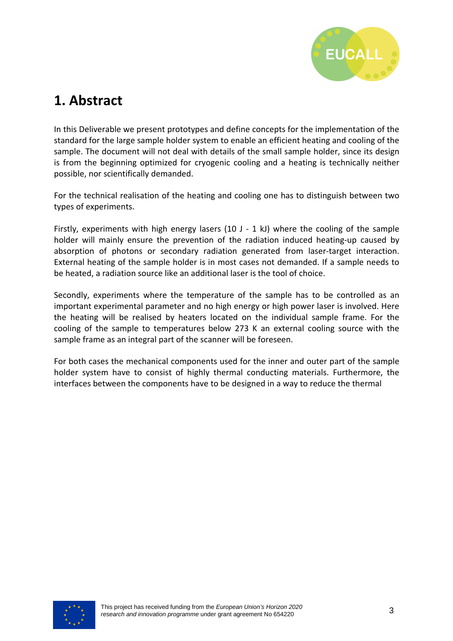

## **1. Abstract**

In this Deliverable we present prototypes and define concepts for the implementation of the standard for the large sample holder system to enable an efficient heating and cooling of the sample. The document will not deal with details of the small sample holder, since its design is from the beginning optimized for cryogenic cooling and a heating is technically neither possible, nor scientifically demanded.

For the technical realisation of the heating and cooling one has to distinguish between two types of experiments.

Firstly, experiments with high energy lasers (10 J - 1 kJ) where the cooling of the sample holder will mainly ensure the prevention of the radiation induced heating-up caused by absorption of photons or secondary radiation generated from laser-target interaction. External heating of the sample holder is in most cases not demanded. If a sample needs to be heated, a radiation source like an additional laser is the tool of choice.

Secondly, experiments where the temperature of the sample has to be controlled as an important experimental parameter and no high energy or high power laser is involved. Here the heating will be realised by heaters located on the individual sample frame. For the cooling of the sample to temperatures below 273 K an external cooling source with the sample frame as an integral part of the scanner will be foreseen.

For both cases the mechanical components used for the inner and outer part of the sample holder system have to consist of highly thermal conducting materials. Furthermore, the interfaces between the components have to be designed in a way to reduce the thermal

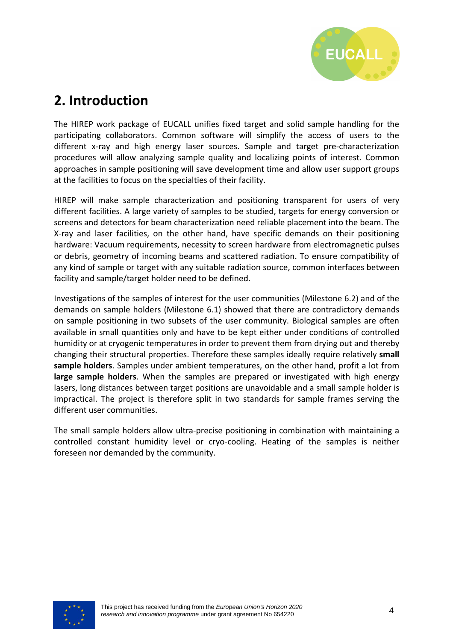

#### **2. Introduction**

The HIREP work package of EUCALL unifies fixed target and solid sample handling for the participating collaborators. Common software will simplify the access of users to the different x-ray and high energy laser sources. Sample and target pre-characterization procedures will allow analyzing sample quality and localizing points of interest. Common approaches in sample positioning will save development time and allow user support groups at the facilities to focus on the specialties of their facility.

HIREP will make sample characterization and positioning transparent for users of very different facilities. A large variety of samples to be studied, targets for energy conversion or screens and detectors for beam characterization need reliable placement into the beam. The X-ray and laser facilities, on the other hand, have specific demands on their positioning hardware: Vacuum requirements, necessity to screen hardware from electromagnetic pulses or debris, geometry of incoming beams and scattered radiation. To ensure compatibility of any kind of sample or target with any suitable radiation source, common interfaces between facility and sample/target holder need to be defined.

Investigations of the samples of interest for the user communities (Milestone 6.2) and of the demands on sample holders (Milestone 6.1) showed that there are contradictory demands on sample positioning in two subsets of the user community. Biological samples are often available in small quantities only and have to be kept either under conditions of controlled humidity or at cryogenic temperatures in order to prevent them from drying out and thereby changing their structural properties. Therefore these samples ideally require relatively **small sample holders**. Samples under ambient temperatures, on the other hand, profit a lot from **large sample holders**. When the samples are prepared or investigated with high energy lasers, long distances between target positions are unavoidable and a small sample holder is impractical. The project is therefore split in two standards for sample frames serving the different user communities.

The small sample holders allow ultra-precise positioning in combination with maintaining a controlled constant humidity level or cryo-cooling. Heating of the samples is neither foreseen nor demanded by the community.

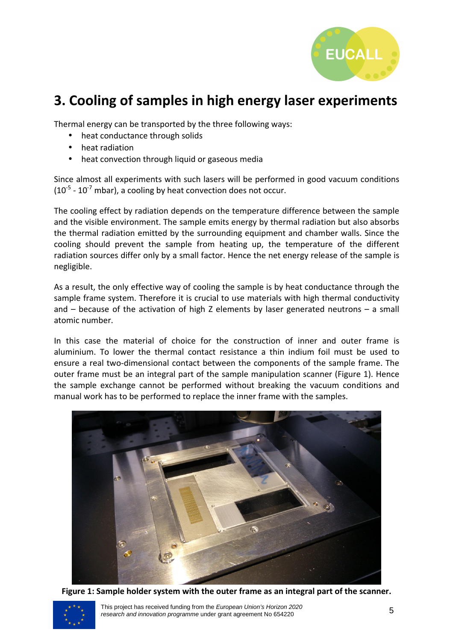

## **3. Cooling of samples in high energy laser experiments**

Thermal energy can be transported by the three following ways:

- heat conductance through solids
- heat radiation
- heat convection through liquid or gaseous media

Since almost all experiments with such lasers will be performed in good vacuum conditions  $(10^{-5} - 10^{-7}$  mbar), a cooling by heat convection does not occur.

The cooling effect by radiation depends on the temperature difference between the sample and the visible environment. The sample emits energy by thermal radiation but also absorbs the thermal radiation emitted by the surrounding equipment and chamber walls. Since the cooling should prevent the sample from heating up, the temperature of the different radiation sources differ only by a small factor. Hence the net energy release of the sample is negligible.

As a result, the only effective way of cooling the sample is by heat conductance through the sample frame system. Therefore it is crucial to use materials with high thermal conductivity and  $-$  because of the activation of high Z elements by laser generated neutrons  $-$  a small atomic number.

In this case the material of choice for the construction of inner and outer frame is aluminium. To lower the thermal contact resistance a thin indium foil must be used to ensure a real two-dimensional contact between the components of the sample frame. The outer frame must be an integral part of the sample manipulation scanner (Figure 1). Hence the sample exchange cannot be performed without breaking the vacuum conditions and manual work has to be performed to replace the inner frame with the samples.



**Figure 1: Sample holder system with the outer frame as an integral part of the scanner.**

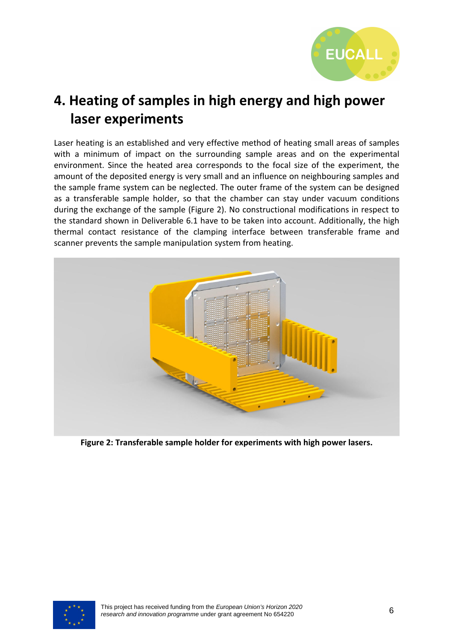

# **4. Heating of samples in high energy and high power laser experiments**

Laser heating is an established and very effective method of heating small areas of samples with a minimum of impact on the surrounding sample areas and on the experimental environment. Since the heated area corresponds to the focal size of the experiment, the amount of the deposited energy is very small and an influence on neighbouring samples and the sample frame system can be neglected. The outer frame of the system can be designed as a transferable sample holder, so that the chamber can stay under vacuum conditions during the exchange of the sample (Figure 2). No constructional modifications in respect to the standard shown in Deliverable 6.1 have to be taken into account. Additionally, the high thermal contact resistance of the clamping interface between transferable frame and scanner prevents the sample manipulation system from heating.



**Figure 2: Transferable sample holder for experiments with high power lasers.** 

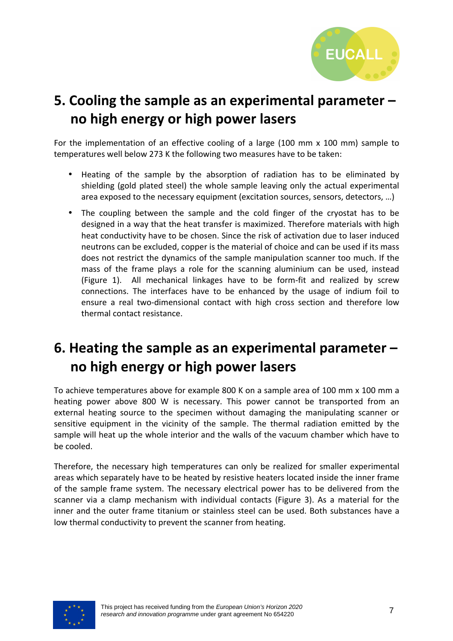

# **5. Cooling the sample as an experimental parameter – no high energy or high power lasers**

For the implementation of an effective cooling of a large (100 mm x 100 mm) sample to temperatures well below 273 K the following two measures have to be taken:

- Heating of the sample by the absorption of radiation has to be eliminated by shielding (gold plated steel) the whole sample leaving only the actual experimental area exposed to the necessary equipment (excitation sources, sensors, detectors, …)
- The coupling between the sample and the cold finger of the cryostat has to be designed in a way that the heat transfer is maximized. Therefore materials with high heat conductivity have to be chosen. Since the risk of activation due to laser induced neutrons can be excluded, copper is the material of choice and can be used if its mass does not restrict the dynamics of the sample manipulation scanner too much. If the mass of the frame plays a role for the scanning aluminium can be used, instead (Figure 1). All mechanical linkages have to be form-fit and realized by screw connections. The interfaces have to be enhanced by the usage of indium foil to ensure a real two-dimensional contact with high cross section and therefore low thermal contact resistance.

# **6. Heating the sample as an experimental parameter – no high energy or high power lasers**

To achieve temperatures above for example 800 K on a sample area of 100 mm x 100 mm a heating power above 800 W is necessary. This power cannot be transported from an external heating source to the specimen without damaging the manipulating scanner or sensitive equipment in the vicinity of the sample. The thermal radiation emitted by the sample will heat up the whole interior and the walls of the vacuum chamber which have to be cooled.

Therefore, the necessary high temperatures can only be realized for smaller experimental areas which separately have to be heated by resistive heaters located inside the inner frame of the sample frame system. The necessary electrical power has to be delivered from the scanner via a clamp mechanism with individual contacts (Figure 3). As a material for the inner and the outer frame titanium or stainless steel can be used. Both substances have a low thermal conductivity to prevent the scanner from heating.